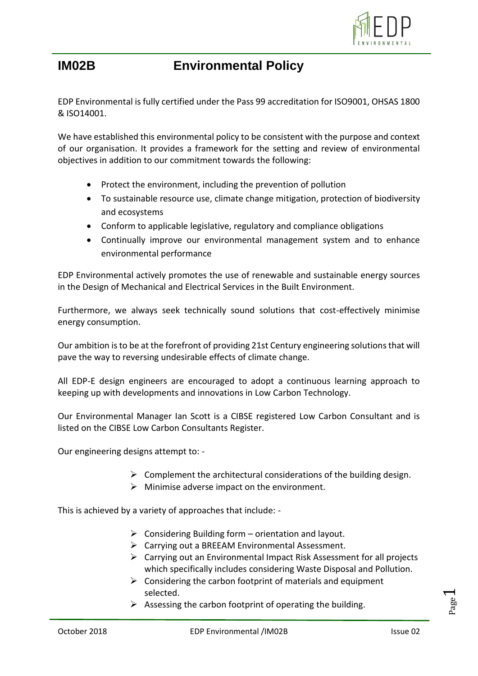

**IM02B Environmental Policy**

EDP Environmental is fully certified under the Pass 99 accreditation for ISO9001, OHSAS 1800 & ISO14001.

We have established this environmental policy to be consistent with the purpose and context of our organisation. It provides a framework for the setting and review of environmental objectives in addition to our commitment towards the following:

- Protect the environment, including the prevention of pollution
- To sustainable resource use, climate change mitigation, protection of biodiversity and ecosystems
- Conform to applicable legislative, regulatory and compliance obligations
- Continually improve our environmental management system and to enhance environmental performance

EDP Environmental actively promotes the use of renewable and sustainable energy sources in the Design of Mechanical and Electrical Services in the Built Environment.

Furthermore, we always seek technically sound solutions that cost-effectively minimise energy consumption.

Our ambition is to be at the forefront of providing 21st Century engineering solutions that will pave the way to reversing undesirable effects of climate change.

All EDP-E design engineers are encouraged to adopt a continuous learning approach to keeping up with developments and innovations in Low Carbon Technology.

Our Environmental Manager Ian Scott is a CIBSE registered Low Carbon Consultant and is listed on the CIBSE Low Carbon Consultants Register.

Our engineering designs attempt to: -

- $\triangleright$  Complement the architectural considerations of the building design.
- $\triangleright$  Minimise adverse impact on the environment.

This is achieved by a variety of approaches that include: -

- $\triangleright$  Considering Building form orientation and layout.
- $\triangleright$  Carrying out a BREEAM Environmental Assessment.
- ➢ Carrying out an Environmental Impact Risk Assessment for all projects which specifically includes considering Waste Disposal and Pollution.
- $\triangleright$  Considering the carbon footprint of materials and equipment selected.
- $\triangleright$  Assessing the carbon footprint of operating the building.

Page  $\overline{\phantom{0}}$